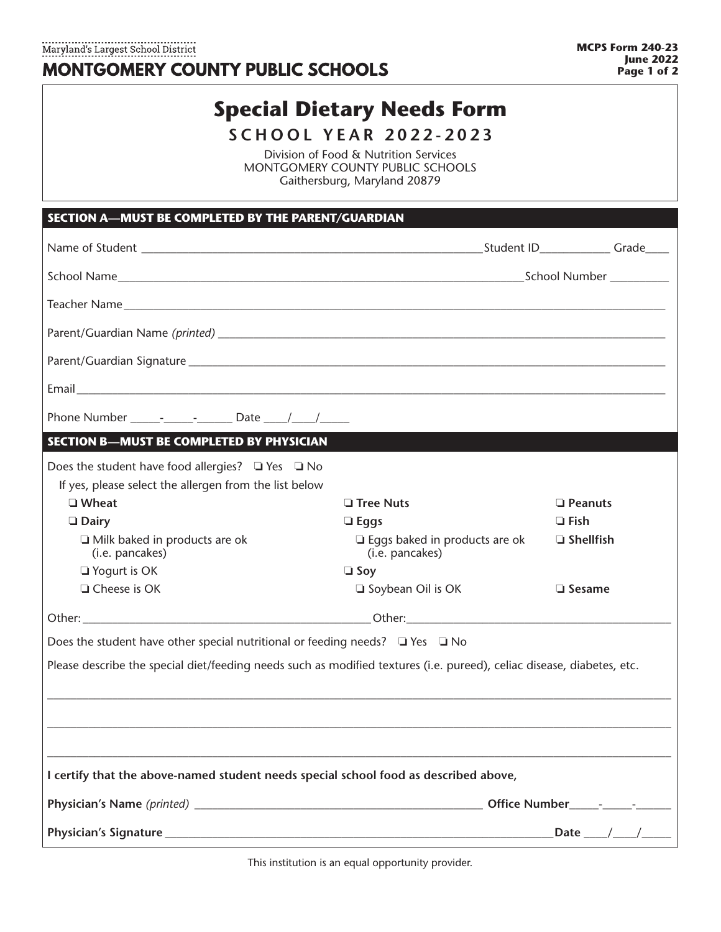Maryland's Largest School District MONTGOMERY COUNTY PUBLIC SCHOOLS

## **Special Dietary Needs Form**

**SCHOOL YEAR 2022-2023**

Division of Food & Nutrition Services MONTGOMERY COUNTY PUBLIC SCHOOLS Gaithersburg, Maryland 20879

| SECTION A-MUST BE COMPLETED BY THE PARENT/GUARDIAN                                                                     |                                                                                                                 |  |                      |  |
|------------------------------------------------------------------------------------------------------------------------|-----------------------------------------------------------------------------------------------------------------|--|----------------------|--|
|                                                                                                                        |                                                                                                                 |  |                      |  |
|                                                                                                                        |                                                                                                                 |  |                      |  |
|                                                                                                                        |                                                                                                                 |  |                      |  |
|                                                                                                                        |                                                                                                                 |  |                      |  |
|                                                                                                                        |                                                                                                                 |  |                      |  |
|                                                                                                                        |                                                                                                                 |  |                      |  |
| Phone Number ______________________ Date _____/ _____/                                                                 |                                                                                                                 |  |                      |  |
| <b>SECTION B-MUST BE COMPLETED BY PHYSICIAN</b>                                                                        |                                                                                                                 |  |                      |  |
| Does the student have food allergies? $\Box$ Yes $\Box$ No                                                             |                                                                                                                 |  |                      |  |
| If yes, please select the allergen from the list below                                                                 |                                                                                                                 |  |                      |  |
| □ Wheat                                                                                                                | $\Box$ Tree Nuts                                                                                                |  | <b>D</b> Peanuts     |  |
| $\Box$ Dairy                                                                                                           | $\Box$ Eggs                                                                                                     |  | $\Box$ Fish          |  |
| $\Box$ Milk baked in products are ok<br>(i.e. pancakes)                                                                | $\Box$ Eggs baked in products are ok<br>(i.e. pancakes)                                                         |  | $\Box$ Shellfish     |  |
| $\Box$ Yogurt is OK                                                                                                    | $\Box$ Soy                                                                                                      |  |                      |  |
| $\Box$ Cheese is OK                                                                                                    | Soybean Oil is OK                                                                                               |  | $\Box$ Sesame        |  |
|                                                                                                                        |                                                                                                                 |  |                      |  |
| Does the student have other special nutritional or feeding needs? $\Box$ Yes $\Box$ No                                 |                                                                                                                 |  |                      |  |
| Please describe the special diet/feeding needs such as modified textures (i.e. pureed), celiac disease, diabetes, etc. |                                                                                                                 |  |                      |  |
|                                                                                                                        |                                                                                                                 |  |                      |  |
|                                                                                                                        |                                                                                                                 |  |                      |  |
|                                                                                                                        |                                                                                                                 |  |                      |  |
|                                                                                                                        |                                                                                                                 |  |                      |  |
| I certify that the above-named student needs special school food as described above,                                   |                                                                                                                 |  |                      |  |
|                                                                                                                        |                                                                                                                 |  |                      |  |
|                                                                                                                        | and the state of the state of the state of the state of the state of the state of the state of the state of the |  | Date ___/ ___/ _____ |  |

This institution is an equal opportunity provider.